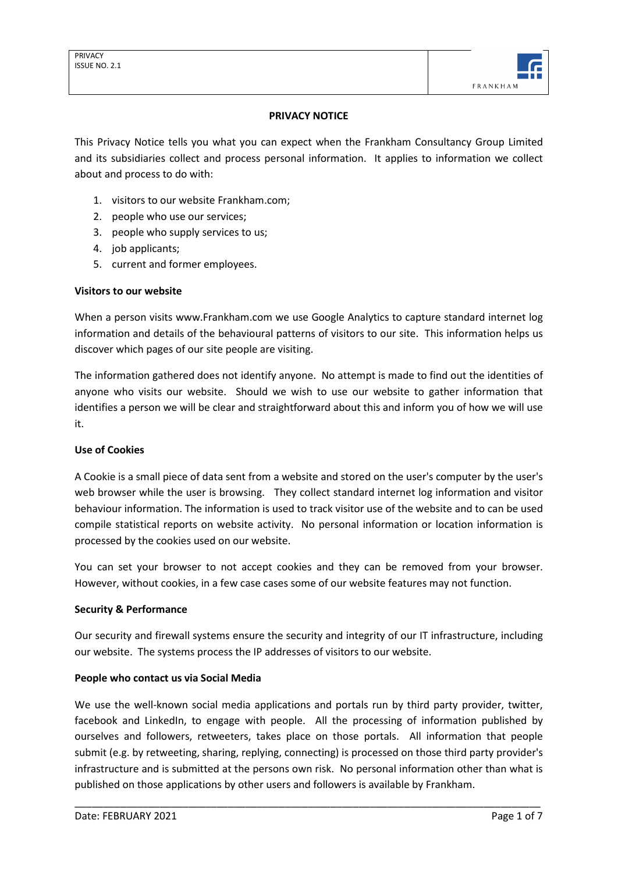

## **PRIVACY NOTICE**

This Privacy Notice tells you what you can expect when the Frankham Consultancy Group Limited and its subsidiaries collect and process personal information. It applies to information we collect about and process to do with:

- 1. visitors to our website Frankham.com;
- 2. people who use our services;
- 3. people who supply services to us;
- 4. job applicants;
- 5. current and former employees.

#### **Visitors to our website**

When a person visits www.Frankham.com we use Google Analytics to capture standard internet log information and details of the behavioural patterns of visitors to our site. This information helps us discover which pages of our site people are visiting.

The information gathered does not identify anyone. No attempt is made to find out the identities of anyone who visits our website. Should we wish to use our website to gather information that identifies a person we will be clear and straightforward about this and inform you of how we will use it.

#### **Use of Cookies**

A Cookie is a small piece of data sent from a website and stored on the user's computer by the user's web browser while the user is browsing. They collect standard internet log information and visitor behaviour information. The information is used to track visitor use of the website and to can be used compile statistical reports on website activity. No personal information or location information is processed by the cookies used on our website.

You can set your browser to not accept cookies and they can be removed from your browser. However, without cookies, in a few case cases some of our website features may not function.

# **Security & Performance**

Our security and firewall systems ensure the security and integrity of our IT infrastructure, including our website. The systems process the IP addresses of visitors to our website.

#### **People who contact us via Social Media**

We use the well-known social media applications and portals run by third party provider, twitter, facebook and LinkedIn, to engage with people. All the processing of information published by ourselves and followers, retweeters, takes place on those portals. All information that people submit (e.g. by retweeting, sharing, replying, connecting) is processed on those third party provider's infrastructure and is submitted at the persons own risk. No personal information other than what is published on those applications by other users and followers is available by Frankham.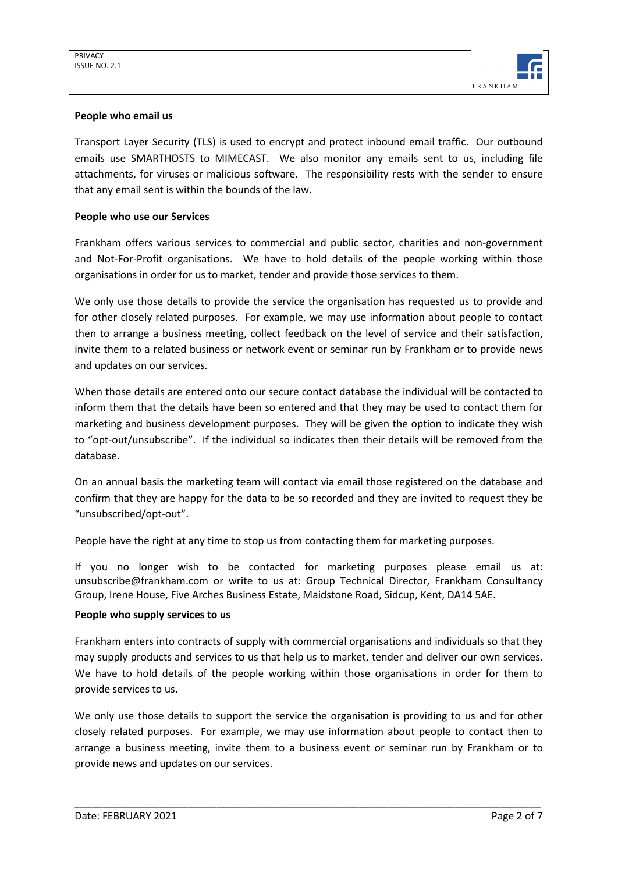

### **People who email us**

Transport Layer Security (TLS) is used to encrypt and protect inbound email traffic. Our outbound emails use SMARTHOSTS to MIMECAST. We also monitor any emails sent to us, including file attachments, for viruses or malicious software. The responsibility rests with the sender to ensure that any email sent is within the bounds of the law.

## **People who use our Services**

Frankham offers various services to commercial and public sector, charities and non-government and Not-For-Profit organisations. We have to hold details of the people working within those organisations in order for us to market, tender and provide those services to them.

We only use those details to provide the service the organisation has requested us to provide and for other closely related purposes. For example, we may use information about people to contact then to arrange a business meeting, collect feedback on the level of service and their satisfaction, invite them to a related business or network event or seminar run by Frankham or to provide news and updates on our services.

When those details are entered onto our secure contact database the individual will be contacted to inform them that the details have been so entered and that they may be used to contact them for marketing and business development purposes. They will be given the option to indicate they wish to "opt-out/unsubscribe". If the individual so indicates then their details will be removed from the database.

On an annual basis the marketing team will contact via email those registered on the database and confirm that they are happy for the data to be so recorded and they are invited to request they be "unsubscribed/opt-out".

People have the right at any time to stop us from contacting them for marketing purposes.

If you no longer wish to be contacted for marketing purposes please email us at: unsubscribe@frankham.com or write to us at: Group Technical Director, Frankham Consultancy Group, Irene House, Five Arches Business Estate, Maidstone Road, Sidcup, Kent, DA14 5AE.

#### **People who supply services to us**

Frankham enters into contracts of supply with commercial organisations and individuals so that they may supply products and services to us that help us to market, tender and deliver our own services. We have to hold details of the people working within those organisations in order for them to provide services to us.

We only use those details to support the service the organisation is providing to us and for other closely related purposes. For example, we may use information about people to contact then to arrange a business meeting, invite them to a business event or seminar run by Frankham or to provide news and updates on our services.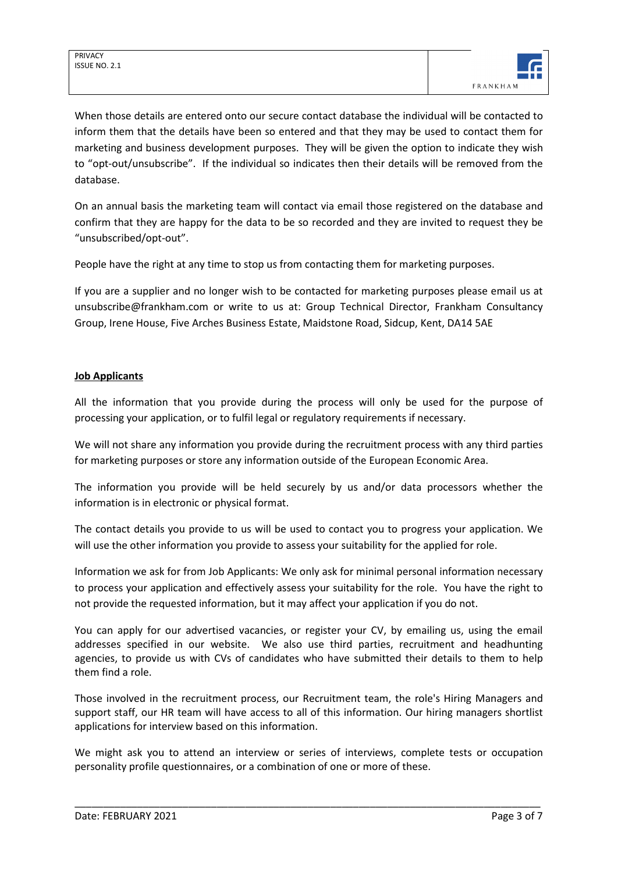When those details are entered onto our secure contact database the individual will be contacted to inform them that the details have been so entered and that they may be used to contact them for marketing and business development purposes. They will be given the option to indicate they wish to "opt-out/unsubscribe". If the individual so indicates then their details will be removed from the database.

On an annual basis the marketing team will contact via email those registered on the database and confirm that they are happy for the data to be so recorded and they are invited to request they be "unsubscribed/opt-out".

People have the right at any time to stop us from contacting them for marketing purposes.

If you are a supplier and no longer wish to be contacted for marketing purposes please email us at unsubscribe@frankham.com or write to us at: Group Technical Director, Frankham Consultancy Group, Irene House, Five Arches Business Estate, Maidstone Road, Sidcup, Kent, DA14 5AE

# **Job Applicants**

All the information that you provide during the process will only be used for the purpose of processing your application, or to fulfil legal or regulatory requirements if necessary.

We will not share any information you provide during the recruitment process with any third parties for marketing purposes or store any information outside of the European Economic Area.

The information you provide will be held securely by us and/or data processors whether the information is in electronic or physical format.

The contact details you provide to us will be used to contact you to progress your application. We will use the other information you provide to assess your suitability for the applied for role.

Information we ask for from Job Applicants: We only ask for minimal personal information necessary to process your application and effectively assess your suitability for the role. You have the right to not provide the requested information, but it may affect your application if you do not.

You can apply for our advertised vacancies, or register your CV, by emailing us, using the email addresses specified in our website. We also use third parties, recruitment and headhunting agencies, to provide us with CVs of candidates who have submitted their details to them to help them find a role.

Those involved in the recruitment process, our Recruitment team, the role's Hiring Managers and support staff, our HR team will have access to all of this information. Our hiring managers shortlist applications for interview based on this information.

We might ask you to attend an interview or series of interviews, complete tests or occupation personality profile questionnaires, or a combination of one or more of these.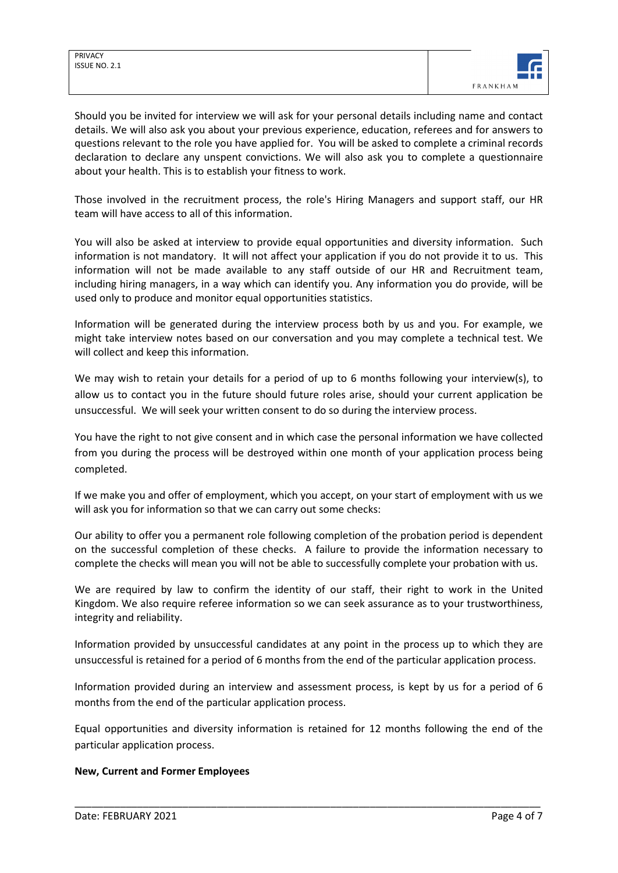

Should you be invited for interview we will ask for your personal details including name and contact details. We will also ask you about your previous experience, education, referees and for answers to questions relevant to the role you have applied for. You will be asked to complete a criminal records declaration to declare any unspent convictions. We will also ask you to complete a questionnaire about your health. This is to establish your fitness to work.

Those involved in the recruitment process, the role's Hiring Managers and support staff, our HR team will have access to all of this information.

You will also be asked at interview to provide equal opportunities and diversity information. Such information is not mandatory. It will not affect your application if you do not provide it to us. This information will not be made available to any staff outside of our HR and Recruitment team, including hiring managers, in a way which can identify you. Any information you do provide, will be used only to produce and monitor equal opportunities statistics.

Information will be generated during the interview process both by us and you. For example, we might take interview notes based on our conversation and you may complete a technical test. We will collect and keep this information.

We may wish to retain your details for a period of up to 6 months following your interview(s), to allow us to contact you in the future should future roles arise, should your current application be unsuccessful. We will seek your written consent to do so during the interview process.

You have the right to not give consent and in which case the personal information we have collected from you during the process will be destroyed within one month of your application process being completed.

If we make you and offer of employment, which you accept, on your start of employment with us we will ask you for information so that we can carry out some checks:

Our ability to offer you a permanent role following completion of the probation period is dependent on the successful completion of these checks. A failure to provide the information necessary to complete the checks will mean you will not be able to successfully complete your probation with us.

We are required by law to confirm the identity of our staff, their right to work in the United Kingdom. We also require referee information so we can seek assurance as to your trustworthiness, integrity and reliability.

Information provided by unsuccessful candidates at any point in the process up to which they are unsuccessful is retained for a period of 6 months from the end of the particular application process.

Information provided during an interview and assessment process, is kept by us for a period of 6 months from the end of the particular application process.

Equal opportunities and diversity information is retained for 12 months following the end of the particular application process.

\_\_\_\_\_\_\_\_\_\_\_\_\_\_\_\_\_\_\_\_\_\_\_\_\_\_\_\_\_\_\_\_\_\_\_\_\_\_\_\_\_\_\_\_\_\_\_\_\_\_\_\_\_\_\_\_\_\_\_\_\_\_\_\_\_\_\_\_\_\_\_\_\_\_\_\_\_\_\_\_\_\_

# **New, Current and Former Employees**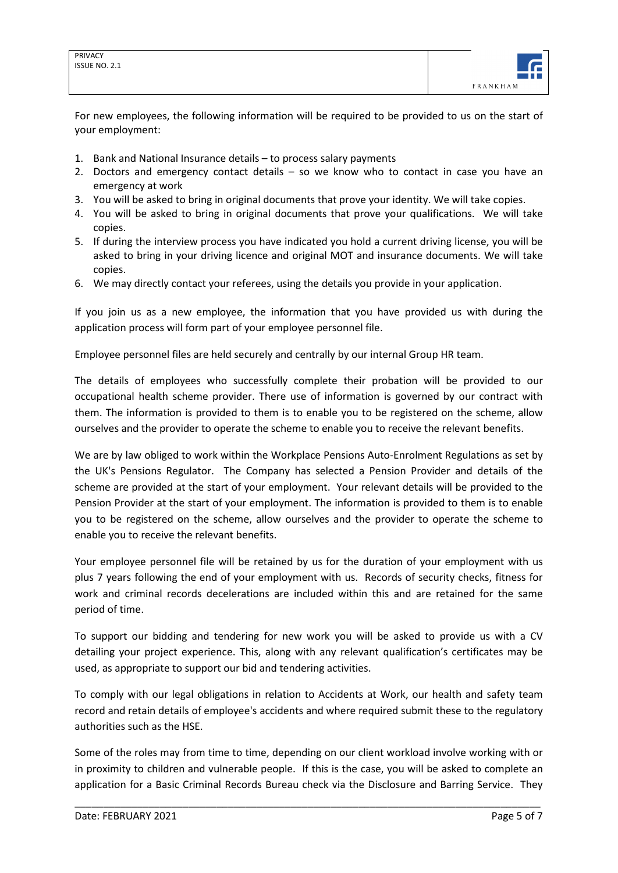

For new employees, the following information will be required to be provided to us on the start of your employment:

- 1. Bank and National Insurance details to process salary payments
- 2. Doctors and emergency contact details so we know who to contact in case you have an emergency at work
- 3. You will be asked to bring in original documents that prove your identity. We will take copies.
- 4. You will be asked to bring in original documents that prove your qualifications. We will take copies.
- 5. If during the interview process you have indicated you hold a current driving license, you will be asked to bring in your driving licence and original MOT and insurance documents. We will take copies.
- 6. We may directly contact your referees, using the details you provide in your application.

If you join us as a new employee, the information that you have provided us with during the application process will form part of your employee personnel file.

Employee personnel files are held securely and centrally by our internal Group HR team.

The details of employees who successfully complete their probation will be provided to our occupational health scheme provider. There use of information is governed by our contract with them. The information is provided to them is to enable you to be registered on the scheme, allow ourselves and the provider to operate the scheme to enable you to receive the relevant benefits.

We are by law obliged to work within the Workplace Pensions Auto-Enrolment Regulations as set by the UK's Pensions Regulator. The Company has selected a Pension Provider and details of the scheme are provided at the start of your employment. Your relevant details will be provided to the Pension Provider at the start of your employment. The information is provided to them is to enable you to be registered on the scheme, allow ourselves and the provider to operate the scheme to enable you to receive the relevant benefits.

Your employee personnel file will be retained by us for the duration of your employment with us plus 7 years following the end of your employment with us. Records of security checks, fitness for work and criminal records decelerations are included within this and are retained for the same period of time.

To support our bidding and tendering for new work you will be asked to provide us with a CV detailing your project experience. This, along with any relevant qualification's certificates may be used, as appropriate to support our bid and tendering activities.

To comply with our legal obligations in relation to Accidents at Work, our health and safety team record and retain details of employee's accidents and where required submit these to the regulatory authorities such as the HSE.

Some of the roles may from time to time, depending on our client workload involve working with or in proximity to children and vulnerable people. If this is the case, you will be asked to complete an application for a Basic Criminal Records Bureau check via the Disclosure and Barring Service. They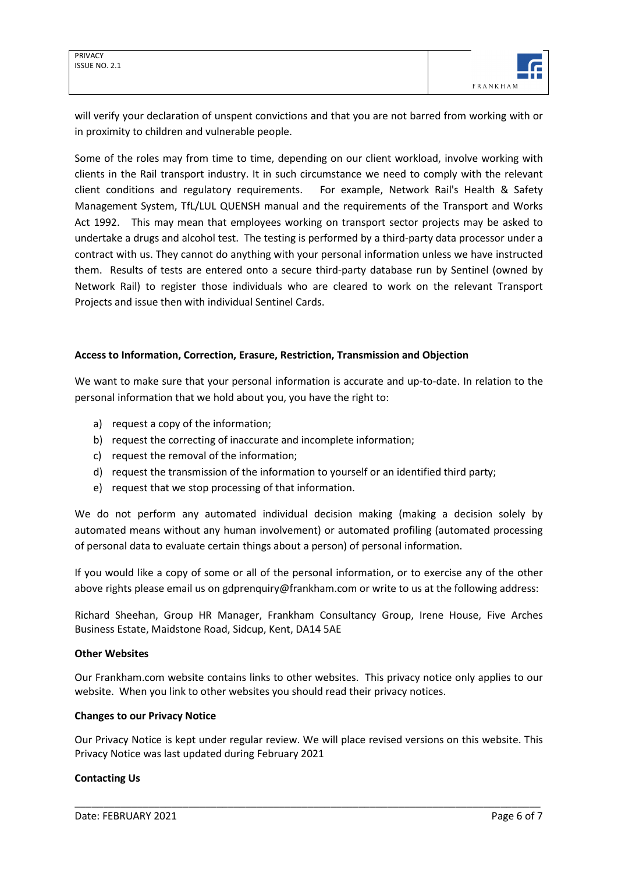

will verify your declaration of unspent convictions and that you are not barred from working with or in proximity to children and vulnerable people.

Some of the roles may from time to time, depending on our client workload, involve working with clients in the Rail transport industry. It in such circumstance we need to comply with the relevant client conditions and regulatory requirements. For example, Network Rail's Health & Safety Management System, TfL/LUL QUENSH manual and the requirements of the Transport and Works Act 1992. This may mean that employees working on transport sector projects may be asked to undertake a drugs and alcohol test. The testing is performed by a third-party data processor under a contract with us. They cannot do anything with your personal information unless we have instructed them. Results of tests are entered onto a secure third-party database run by Sentinel (owned by Network Rail) to register those individuals who are cleared to work on the relevant Transport Projects and issue then with individual Sentinel Cards.

## **Access to Information, Correction, Erasure, Restriction, Transmission and Objection**

We want to make sure that your personal information is accurate and up-to-date. In relation to the personal information that we hold about you, you have the right to:

- a) request a copy of the information;
- b) request the correcting of inaccurate and incomplete information;
- c) request the removal of the information;
- d) request the transmission of the information to yourself or an identified third party;
- e) request that we stop processing of that information.

We do not perform any automated individual decision making (making a decision solely by automated means without any human involvement) or automated profiling (automated processing of personal data to evaluate certain things about a person) of personal information.

If you would like a copy of some or all of the personal information, or to exercise any of the other above rights please email us on gdprenquiry@frankham.com or write to us at the following address:

Richard Sheehan, Group HR Manager, Frankham Consultancy Group, Irene House, Five Arches Business Estate, Maidstone Road, Sidcup, Kent, DA14 5AE

## **Other Websites**

Our Frankham.com website contains links to other websites. This privacy notice only applies to our website. When you link to other websites you should read their privacy notices.

#### **Changes to our Privacy Notice**

Our Privacy Notice is kept under regular review. We will place revised versions on this website. This Privacy Notice was last updated during February 2021

\_\_\_\_\_\_\_\_\_\_\_\_\_\_\_\_\_\_\_\_\_\_\_\_\_\_\_\_\_\_\_\_\_\_\_\_\_\_\_\_\_\_\_\_\_\_\_\_\_\_\_\_\_\_\_\_\_\_\_\_\_\_\_\_\_\_\_\_\_\_\_\_\_\_\_\_\_\_\_\_\_\_

#### **Contacting Us**